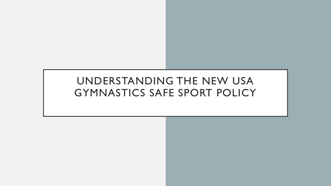## UNDERSTANDING THE NEW USA GYMNASTICS SAFE SPORT POLICY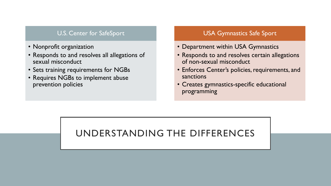#### U.S. Center for SafeSport

- Nonprofit organization
- Responds to and resolves all allegations of sexual misconduct
- Sets training requirements for NGBs
- Requires NGBs to implement abuse prevention policies

#### USA Gymnastics Safe Sport

- Department within USA Gymnastics
- Responds to and resolves certain allegations of non-sexual misconduct
- Enforces Center's policies, requirements, and sanctions
- Creates gymnastics-specific educational programming

### UNDERSTANDING THE DIFFERENCES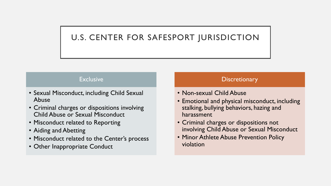### U.S. CENTER FOR SAFESPORT JURISDICTION

#### **Exclusive**

- Sexual Misconduct, including Child Sexual Abuse
- Criminal charges or dispositions involving Child Abuse or Sexual Misconduct
- Misconduct related to Reporting
- Aiding and Abetting
- Misconduct related to the Center's process
- Other Inappropriate Conduct

#### **Discretionary**

- Non-sexual Child Abuse
- Emotional and physical misconduct, including stalking, bullying behaviors, hazing and harassment
- Criminal charges or dispositions not involving Child Abuse or Sexual Misconduct
- Minor Athlete Abuse Prevention Policy violation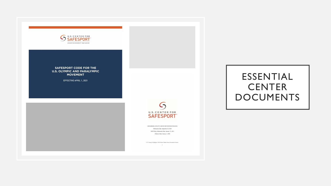

**SAFESPORT CODE FOR THE U.S. OLYMPIC AND PARALYMPIC MOVEMENT** 

EFFECTIVE APRIL 1, 2021



2022 MINOR ATHLETE ABUSE PREVENTION POLICIES Publication Date: September 22, 2020 NGB Policy Submission Date: January 31, 2021 Effective Date: January 1, 2022

 $U.S.$  Center for SafeSport: 2022 Minor Athlete Abuse Prevention Policies  $\sim$  1

### ESSENTIAL **CENTER** DOCUMENTS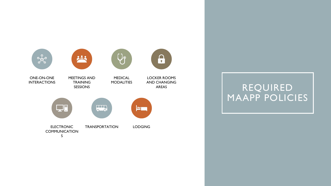

REQUIRED MAAPP POLICIES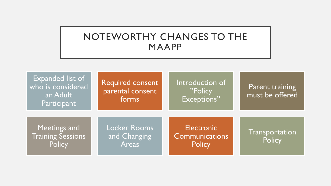### NOTEWORTHY CHANGES TO THE MAAPP

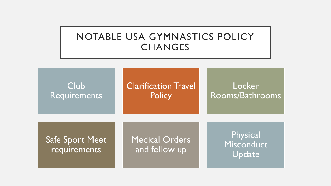### NOTABLE USA GYMNASTICS POLICY **CHANGES**



Clarification Travel **Policy** 

### Locker Rooms/Bathrooms

Safe Sport Meet requirements

Medical Orders and follow up

Physical Misconduct Update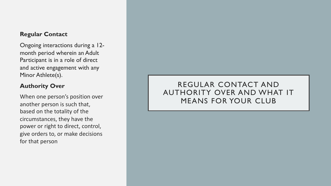#### **Regular Contact**

Ongoing interactions during a 12 month period wherein an Adult Participant is in a role of direct and active engagement with any Minor Athlete(s).

#### **Authority Over**

When one person's position over another person is such that, based on the totality of the circumstances, they have the power or right to direct, control, give orders to, or make decisions for that person

### REGULAR CONTACT AND AUTHORITY OVER AND WHAT IT MEANS FOR YOUR CLUB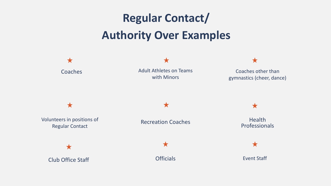# **Regular Contact/ Authority Over Examples**

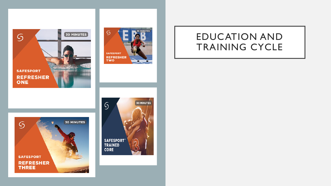







### EDUCATION AND TRAINING CYCLE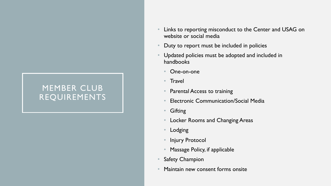### MEMBER CLUB REQUIREMENTS

- Links to reporting misconduct to the Center and USAG on website or social media
- Duty to report must be included in policies
- Updated policies must be adopted and included in handbooks
	- One-on-one
	- Travel
	- Parental Access to training
	- Electronic Communication/Social Media
	- Gifting
	- Locker Rooms and Changing Areas
	- **Lodging**
	- **Injury Protocol**
	- Massage Policy, if applicable
- **Safety Champion**
- Maintain new consent forms onsite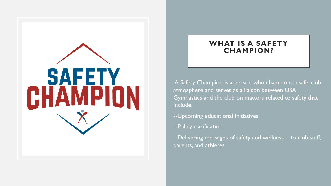

### **WHAT IS A SAFETY CHAMPION?**

A Safety Champion is a person who champions a safe, club atmosphere and serves as a liaison between USA Gymnastics and the club on matters related to safety that include:

- --Upcoming educational initiatives
- --Policy clarification
- --Delivering messages of safety and wellness to club staff, parents, and athletes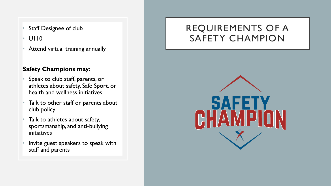- **Staff Designee of club**
- U110
- Attend virtual training annually

### **Safety Champions may:**

- Speak to club staff, parents, or athletes about safety, Safe Sport, or health and wellness initiatives
- Talk to other staff or parents about club policy
- Talk to athletes about safety, sportsmanship, and anti-bullying initiatives
- Invite guest speakers to speak with staff and parents

### REQUIREMENTS OF A SAFETY CHAMPION

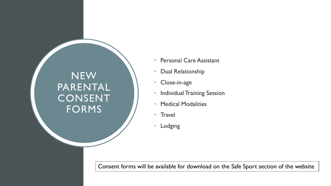# NEW PARENTAL CONSENT FORMS

- Personal Care Assistant
- Dual Relationship
- Close-in-age
- Individual Training Session
- Medical Modalities
- Travel
- Lodging

Consent forms will be available for download on the Safe Sport section of the website